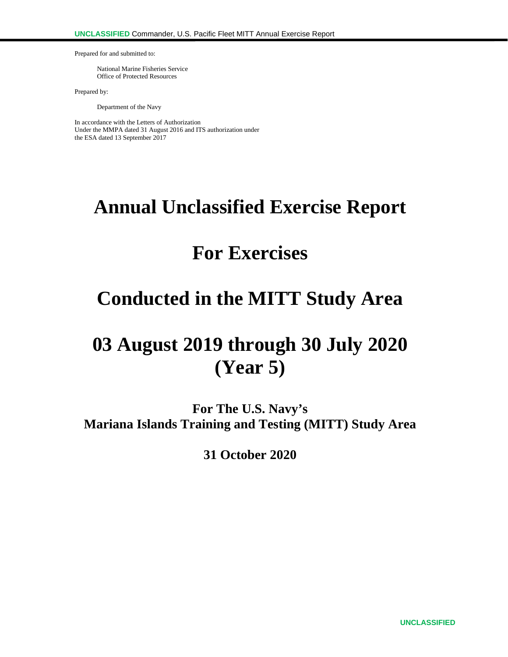Prepared for and submitted to:

National Marine Fisheries Service Office of Protected Resources

Prepared by:

Department of the Navy

In accordance with the Letters of Authorization Under the MMPA dated 31 August 2016 and ITS authorization under the ESA dated 13 September 2017

# **Annual Unclassified Exercise Report**

# **For Exercises**

# **Conducted in the MITT Study Area**

# **03 August 2019 through 30 July 2020 (Year 5)**

**For The U.S. Navy's Mariana Islands Training and Testing (MITT) Study Area**

**31 October 2020**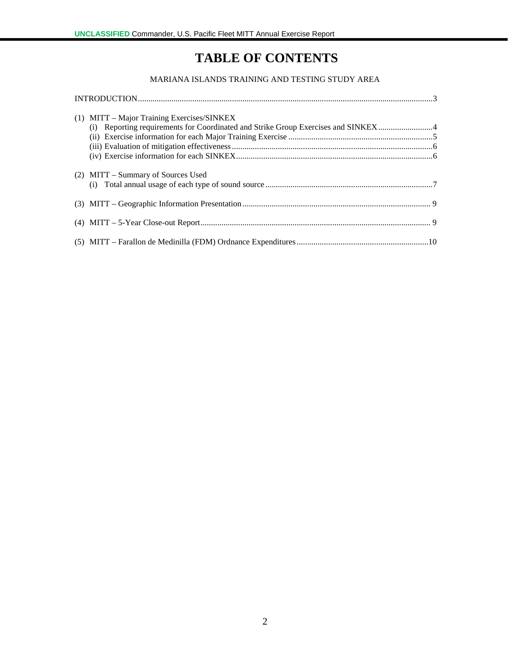# **TABLE OF CONTENTS**

#### MARIANA ISLANDS TRAINING AND TESTING STUDY AREA

| (1) MITT – Major Training Exercises/SINKEX<br>(i) Reporting requirements for Coordinated and Strike Group Exercises and SINKEX4 |  |
|---------------------------------------------------------------------------------------------------------------------------------|--|
|                                                                                                                                 |  |
|                                                                                                                                 |  |
|                                                                                                                                 |  |
| (2) MITT – Summary of Sources Used                                                                                              |  |
|                                                                                                                                 |  |
|                                                                                                                                 |  |
|                                                                                                                                 |  |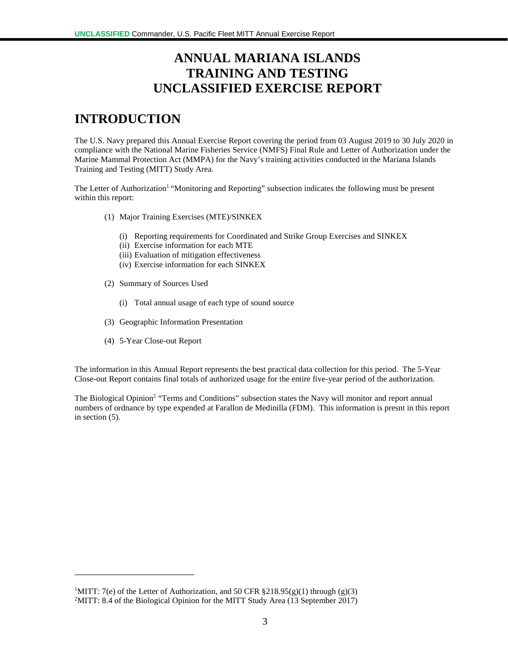## **ANNUAL MARIANA ISLANDS TRAINING AND TESTING UNCLASSIFIED EXERCISE REPORT**

## **INTRODUCTION**

The U.S. Navy prepared this Annual Exercise Report covering the period from 03 August 2019 to 30 July 2020 in compliance with the National Marine Fisheries Service (NMFS) Final Rule and Letter of Authorization under the Marine Mammal Protection Act (MMPA) for the Navy's training activities conducted in the Mariana Islands Training and Testing (MITT) Study Area.

The Letter of Authorization<sup>1</sup> "Monitoring and Reporting" subsection indicates the following must be present within this report:

- (1) Major Training Exercises (MTE)/SINKEX
	- (i) Reporting requirements for Coordinated and Strike Group Exercises and SINKEX
	- (ii) Exercise information for each MTE
	- (iii) Evaluation of mitigation effectiveness
	- (iv) Exercise information for each SINKEX
- (2) Summary of Sources Used
	- (i) Total annual usage of each type of sound source
- (3) Geographic Information Presentation
- (4) 5-Year Close-out Report

\_\_\_\_\_\_\_\_\_\_\_\_\_\_\_\_\_\_\_\_\_\_\_\_

The information in this Annual Report represents the best practical data collection for this period. The 5-Year Close-out Report contains final totals of authorized usage for the entire five-year period of the authorization.

The Biological Opinion<sup>2</sup> "Terms and Conditions" subsection states the Navy will monitor and report annual numbers of ordnance by type expended at Farallon de Medinilla (FDM). This information is presnt in this report in section (5).

<sup>&</sup>lt;sup>1</sup>MITT: 7(e) of the Letter of Authorization, and 50 CFR §218.95(g)(1) through (g)(3) <sup>2</sup>MITT: 8.4 of the Biological Opinion for the MITT Study Area (13 September 2017)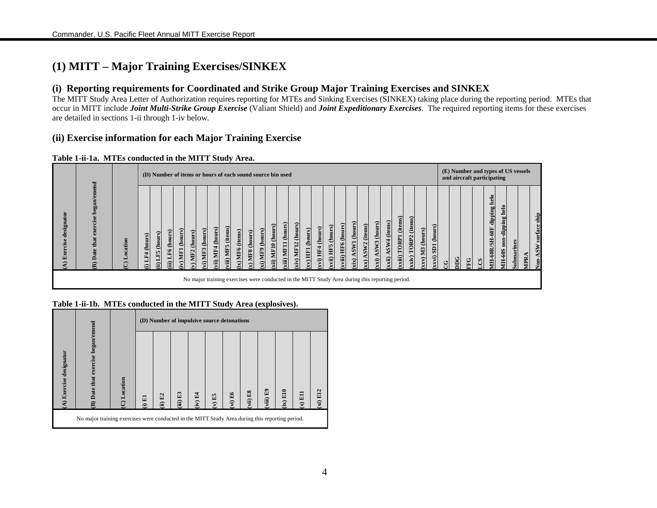### **(1) MITT – Major Training Exercises/SINKEX**

#### **(i) Reporting requirements for Coordinated and Strike Group Major Training Exercises and SINKEX**

The MITT Study Area Letter of Authorization requires reporting for MTEs and Sinking Exercises (SINKEX) taking place during the reporting period. MTEs that occur in MITT include *Joint Multi-Strike Group Exercise* (Valiant Shield) and *Joint Expeditionary Exercises*. The required reporting items for these exercises are detailed in sections 1-ii through 1-iv below.

#### **(ii) Exercise information for each Major Training Exercise**

#### **Table 1-ii-1a. MTEs conducted in the MITT Study Area.**



#### **Table 1-ii-1b. MTEs conducted in the MITT Study Area (explosives).**

|                         |                                                                                                 |         |                             |                  |          | (D) Number of impulsive source detonations |          |        |         |          |          |                              |           |
|-------------------------|-------------------------------------------------------------------------------------------------|---------|-----------------------------|------------------|----------|--------------------------------------------|----------|--------|---------|----------|----------|------------------------------|-----------|
| (A) Exercise designator | B) Date that exercise began/emend                                                               | ocation | 圖<br>$\widehat{\mathbf{z}}$ | E2<br>$\ddot{a}$ | (iii) E3 | $(iv)$ E4                                  | $(V)$ E5 | vi) E6 | vii) E8 | viii) E9 | (ix) E10 | E1<br>$\mathbf{\widehat{x}}$ | $(x)$ E12 |
|                         | No major training exercises were conducted in the MITT Study Area during this reporting period. |         |                             |                  |          |                                            |          |        |         |          |          |                              |           |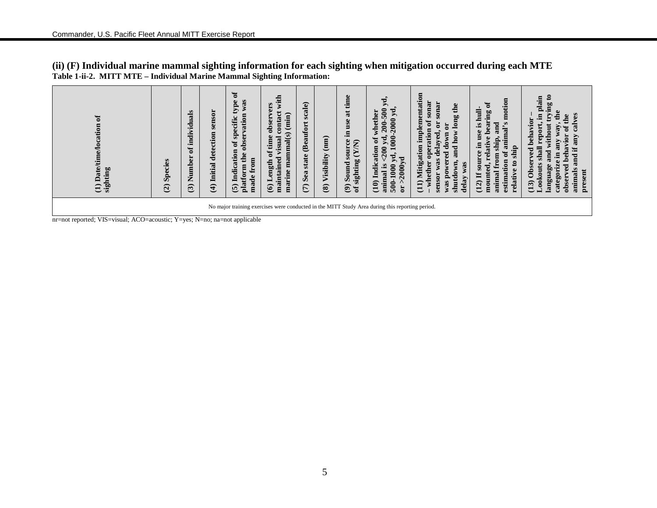| $\sigma$<br>cation<br><b>Date/tim</b><br>ting<br>sight<br>$\widehat{\Xi}$                                                                                                    | Species<br>$\widehat{c}$ | ಕ<br>ë<br>Numb<br>$\mathfrak{S}$ | sensor<br>(4) Initial detection | Ξ<br>was<br>type<br>vation<br>specific<br><b>obser</b><br>đ<br>tion<br>the<br>$\boldsymbol{\Xi}$<br>Indica<br>platform<br>Ê<br>$\bullet$<br>ರ<br>$\widehat{\mathbf{c}}$ | ī<br>vers<br>contact<br>$(\min)$<br>obser<br>manmal(s)<br>time<br>visual<br>$\mathfrak{h}$<br>maintained<br>ngth<br>marine<br>$\widehat{\mathbf{G}}$ | scale)<br><b>(Beaufort</b><br>state<br>Sea<br>$\widehat{\epsilon}$ | $\binom{m}{n}$<br>Visibility<br>$\circledast$ | time<br>$\overline{\mathbf{a}}$<br>ğ<br>Ξ.<br>Φ<br>(Y/N)<br>ō<br>sighting<br>ound<br>$\overline{v}$<br>$\widehat{\mathbf{e}}$<br>ัธ | уd.<br>$\frac{500}{500}$<br>2000 yd.<br>J<br>eth<br>$\frac{200}{200}$<br>Ę<br>$\frac{1}{2}$<br>đ<br>Уd<br>ទ<br>౾<br>ΣÁ<br>$\mathbf{z}$<br>500-1000<br><b>2000</b><br>Indi<br>animal<br>$\frac{1}{2}$<br>(10) | entation<br>sonar<br>sonar<br>long the<br>em<br>ð<br>ā<br>$\mathbf{5}$<br>$\overline{a}$<br>$\mathbf{F}$<br>В<br>$\mathbf{m}$<br>ayed.<br>è<br>āü<br>0<br>$_{\rm{over}}$<br>ರ<br>ರ<br>ε<br>ಠ<br>g<br>Mitigat<br>was<br>wer<br>whether<br>lown<br>was<br>$\mathbf{S}$<br>sensor<br>shutd<br>delay<br>$\left(11\right)$<br>was | animal's motion<br>earing of<br>hull-<br>ರ<br>S.<br>an<br>use<br>م<br>ship.<br>Ξ<br>elati<br>ship<br>đ<br>$\mathbf{m}$<br>ల<br>Ē<br>estimation<br>τ<br>mount<br>animal<br>äü<br>(12)<br>ල | $\boldsymbol{\mathsf{s}}$<br>plain<br>aurAn<br>calves<br>€<br>the<br>behavior<br>$\overline{w}$<br>withou<br>ā<br>vior<br>any<br>and if<br>ದ<br>ರ<br>and<br>Ξ<br>ಠ<br>◓<br>Obser<br>language<br>ಕ<br>animals<br>present<br>ä<br>obser<br>categ<br>(13) |
|------------------------------------------------------------------------------------------------------------------------------------------------------------------------------|--------------------------|----------------------------------|---------------------------------|-------------------------------------------------------------------------------------------------------------------------------------------------------------------------|------------------------------------------------------------------------------------------------------------------------------------------------------|--------------------------------------------------------------------|-----------------------------------------------|-------------------------------------------------------------------------------------------------------------------------------------|--------------------------------------------------------------------------------------------------------------------------------------------------------------------------------------------------------------|------------------------------------------------------------------------------------------------------------------------------------------------------------------------------------------------------------------------------------------------------------------------------------------------------------------------------|-------------------------------------------------------------------------------------------------------------------------------------------------------------------------------------------|--------------------------------------------------------------------------------------------------------------------------------------------------------------------------------------------------------------------------------------------------------|
| No major training exercises were conducted in the MITT Study Area during this reporting period.<br>nr=not reported; VIS=visual; ACO=acoustic; Y=yes; N=no; na=not applicable |                          |                                  |                                 |                                                                                                                                                                         |                                                                                                                                                      |                                                                    |                                               |                                                                                                                                     |                                                                                                                                                                                                              |                                                                                                                                                                                                                                                                                                                              |                                                                                                                                                                                           |                                                                                                                                                                                                                                                        |

**(ii) (F) Individual marine mammal sighting information for each sighting when mitigation occurred during each MTE Table 1-ii-2. MITT MTE – Individual Marine Mammal Sighting Information:**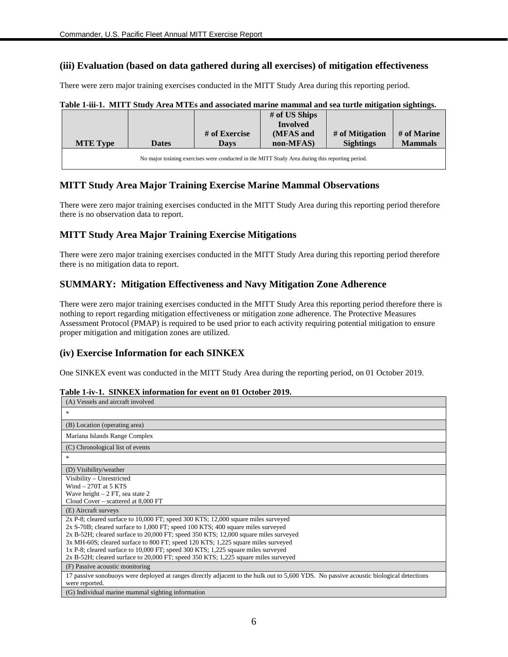#### **(iii) Evaluation (based on data gathered during all exercises) of mitigation effectiveness**

There were zero major training exercises conducted in the MITT Study Area during this reporting period.

|                 |              | Table 1-iii-1. MITT Study Area MTEs and associated marine mammal and sea turtle mitigation sightings. |               |                  |                |
|-----------------|--------------|-------------------------------------------------------------------------------------------------------|---------------|------------------|----------------|
|                 |              |                                                                                                       | # of US Ships |                  |                |
|                 |              |                                                                                                       | Involved      |                  |                |
|                 |              | # of Exercise                                                                                         | (MFAS and     | # of Mitigation  | # of Marine    |
| <b>MTE Type</b> | <b>Dates</b> | Davs                                                                                                  | non-MFAS)     | <b>Sightings</b> | <b>Mammals</b> |
|                 |              |                                                                                                       |               |                  |                |

|  |  | Table 1-iii-1. MITT Study Area MTEs and associated marine mammal and sea turtle mitigation sightings. |  |
|--|--|-------------------------------------------------------------------------------------------------------|--|
|  |  |                                                                                                       |  |

#### **MITT Study Area Major Training Exercise Marine Mammal Observations**

There were zero major training exercises conducted in the MITT Study Area during this reporting period therefore there is no observation data to report.

#### **MITT Study Area Major Training Exercise Mitigations**

There were zero major training exercises conducted in the MITT Study Area during this reporting period therefore there is no mitigation data to report.

#### **SUMMARY: Mitigation Effectiveness and Navy Mitigation Zone Adherence**

There were zero major training exercises conducted in the MITT Study Area this reporting period therefore there is nothing to report regarding mitigation effectiveness or mitigation zone adherence. The Protective Measures Assessment Protocol (PMAP) is required to be used prior to each activity requiring potential mitigation to ensure proper mitigation and mitigation zones are utilized.

#### **(iv) Exercise Information for each SINKEX**

One SINKEX event was conducted in the MITT Study Area during the reporting period, on 01 October 2019.

| (A) Vessels and aircraft involved                                                                                                                                       |
|-------------------------------------------------------------------------------------------------------------------------------------------------------------------------|
| $\frac{1}{2}$                                                                                                                                                           |
| (B) Location (operating area)                                                                                                                                           |
| Mariana Islands Range Complex                                                                                                                                           |
| (C) Chronological list of events                                                                                                                                        |
| $\frac{1}{2}$                                                                                                                                                           |
| (D) Visibility/weather                                                                                                                                                  |
| Visibility - Unrestricted<br>Wind $-270T$ at 5 KTS                                                                                                                      |
| Wave height $-2$ FT, sea state 2                                                                                                                                        |
| Cloud Cover – scattered at 8,000 FT                                                                                                                                     |
| (E) Aircraft surveys                                                                                                                                                    |
| 2x P-8; cleared surface to 10,000 FT; speed 300 KTS; 12,000 square miles surveyed<br>2x S-70B; cleared surface to 1,000 FT; speed 100 KTS; 400 square miles surveyed    |
| 2x B-52H; cleared surface to 20,000 FT; speed 350 KTS; 12,000 square miles surveyed<br>3x MH-60S; cleared surface to 800 FT; speed 120 KTS; 1,225 square miles surveyed |
| 1x P-8; cleared surface to 10,000 FT; speed 300 KTS; 1,225 square miles surveyed                                                                                        |
| 2x B-52H; cleared surface to 20,000 FT; speed 350 KTS; 1,225 square miles surveyed                                                                                      |
| (F) Passive acoustic monitoring                                                                                                                                         |
| 17 passive sonobuoys were deployed at ranges directly adjacent to the hulk out to 5,600 YDS. No passive acoustic biological detections<br>were reported.                |
| (G) Individual marine mammal sighting information                                                                                                                       |

#### **Table 1-iv-1. SINKEX information for event on 01 October 2019.**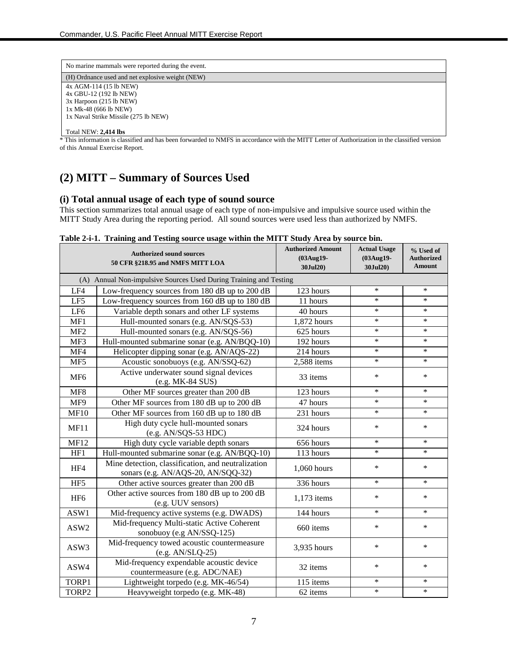| No marine mammals were reported during the event. |
|---------------------------------------------------|
| (H) Ordnance used and net explosive weight (NEW)  |
| 4x AGM-114 (15 lb NEW)                            |
| 4x GBU-12 (192 lb NEW)                            |
| 3x Harpoon (215 lb NEW)                           |
| 1x Mk-48 (666 lb NEW)                             |
| 1x Naval Strike Missile (275 lb NEW)              |
|                                                   |
| Total NEW: 2,414 lbs                              |

This information is classified and has been forwarded to NMFS in accordance with the MITT Letter of Authorization in the classified version of this Annual Exercise Report.

### **(2) MITT – Summary of Sources Used**

#### **(i) Total annual usage of each type of sound source**

This section summarizes total annual usage of each type of non-impulsive and impulsive source used within the MITT Study Area during the reporting period. All sound sources were used less than authorized by NMFS.

|                 | <b>Authorized sound sources</b><br>50 CFR §218.95 and NMFS MITT LOA                      | <b>Authorized Amount</b><br>(03Aug19-<br>30Jul20) | <b>Actual Usage</b><br>(03Aug19-<br>30Jul20) | % Used of<br><b>Authorized</b><br>Amount |
|-----------------|------------------------------------------------------------------------------------------|---------------------------------------------------|----------------------------------------------|------------------------------------------|
|                 | (A) Annual Non-impulsive Sources Used During Training and Testing                        |                                                   |                                              |                                          |
| LF4             | Low-frequency sources from 180 dB up to 200 dB                                           | 123 hours                                         | $\ast$                                       | $\ast$                                   |
| LF5             | Low-frequency sources from 160 dB up to 180 dB                                           | 11 hours                                          | $\ast$                                       | ∗                                        |
| LF <sub>6</sub> | Variable depth sonars and other LF systems                                               | 40 hours                                          | $\ast$                                       | $\ast$                                   |
| MF1             | Hull-mounted sonars (e.g. AN/SQS-53)                                                     | 1,872 hours                                       | $\ast$                                       | $\ast$                                   |
| MF <sub>2</sub> | Hull-mounted sonars (e.g. AN/SQS-56)                                                     | 625 hours                                         | $\ast$                                       | $\ast$                                   |
| MF3             | Hull-mounted submarine sonar (e.g. AN/BQQ-10)                                            | 192 hours                                         | $\ast$                                       | $\ast$                                   |
| MF4             | Helicopter dipping sonar (e.g. AN/AQS-22)                                                | 214 hours                                         | $\ast$                                       | $\ast$                                   |
| MF5             | Acoustic sonobuoys (e.g. AN/SSQ-62)                                                      | 2,588 items                                       | $\ast$                                       | $\ast$                                   |
| MF <sub>6</sub> | Active underwater sound signal devices<br>(e.g. MK-84 SUS)                               | 33 items                                          | $\ast$                                       | *                                        |
| MF8             | Other MF sources greater than 200 dB                                                     | 123 hours                                         | $\ast$                                       | ∗                                        |
| MF9             | Other MF sources from 180 dB up to 200 dB                                                | 47 hours                                          | $\ast$                                       | $\ast$                                   |
| <b>MF10</b>     | Other MF sources from 160 dB up to 180 dB                                                | 231 hours                                         | $\ast$                                       | $\ast$                                   |
| MF11            | High duty cycle hull-mounted sonars<br>$(e.g. AN/SQS-53 HDC)$                            | 324 hours                                         | $\ast$                                       | $\ast$                                   |
| <b>MF12</b>     | High duty cycle variable depth sonars                                                    | 656 hours                                         | $\ast$                                       | ∗                                        |
| HF1             | Hull-mounted submarine sonar (e.g. AN/BQQ-10)                                            | 113 hours                                         | $\ast$                                       | $\ast$                                   |
| HF4             | Mine detection, classification, and neutralization<br>sonars (e.g. AN/AQS-20, AN/SQQ-32) | 1,060 hours                                       | $\ast$                                       | $\ast$                                   |
| HF5             | Other active sources greater than 200 dB                                                 | 336 hours                                         | $\ast$                                       | $\ast$                                   |
| HF <sub>6</sub> | Other active sources from 180 dB up to 200 dB<br>(e.g. UUV sensors)                      | 1,173 items                                       | $\ast$                                       | ∗                                        |
| ASW1            | Mid-frequency active systems (e.g. DWADS)                                                | 144 hours                                         | $\ast$                                       | $\ast$                                   |
| ASW2            | Mid-frequency Multi-static Active Coherent<br>sonobuoy (e.g AN/SSQ-125)                  | 660 items                                         | $\ast$                                       | *                                        |
| ASW3            | Mid-frequency towed acoustic countermeasure<br>$(e.g. AN/SLQ-25)$                        | 3,935 hours                                       | $\ast$                                       | ∗                                        |
| ASW4            | Mid-frequency expendable acoustic device<br>countermeasure (e.g. ADC/NAE)                | 32 items                                          | $\ast$                                       | $\ast$                                   |
| TORP1           | Lightweight torpedo (e.g. MK-46/54)                                                      | $115$ items                                       | $\ast$                                       | $\ast$                                   |
| TORP2           | Heavyweight torpedo (e.g. MK-48)                                                         | 62 items                                          | $\ast$                                       | $\ast$                                   |

#### **Table 2-i-1. Training and Testing source usage within the MITT Study Area by source bin.**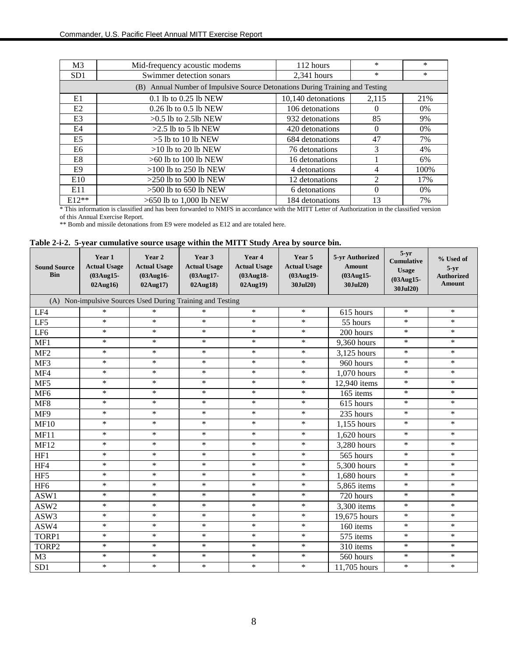| M <sub>3</sub> | Mid-frequency acoustic modems                                                 | 112 hours          | $\ast$ | $\ast$ |  |  |  |  |  |
|----------------|-------------------------------------------------------------------------------|--------------------|--------|--------|--|--|--|--|--|
| SD1            | Swimmer detection sonars                                                      | $2,341$ hours      | $\ast$ | *      |  |  |  |  |  |
|                | (B) Annual Number of Impulsive Source Detonations During Training and Testing |                    |        |        |  |  |  |  |  |
| E1             | 0.1 lb to 0.25 lb NEW                                                         | 10,140 detonations | 2,115  | 21%    |  |  |  |  |  |
| E <sub>2</sub> | $0.26$ lb to $0.5$ lb NEW                                                     | 106 detonations    | 0      | $0\%$  |  |  |  |  |  |
| E3             | $>0.5$ lb to 2.5lb NEW                                                        | 932 detonations    | 85     | 9%     |  |  |  |  |  |
| E4             | $>2.5$ lb to 5 lb NEW                                                         | 420 detonations    | 0      | $0\%$  |  |  |  |  |  |
| E <sub>5</sub> | $>5$ lb to 10 lb NEW                                                          | 684 detonations    | 47     | 7%     |  |  |  |  |  |
| E6             | $>10$ lb to 20 lb NEW                                                         | 76 detonations     | 3      | 4%     |  |  |  |  |  |
| E8             | $>60$ lb to 100 lb NEW                                                        | 16 detonations     |        | 6%     |  |  |  |  |  |
| E9             | $>100$ lb to 250 lb NEW                                                       | 4 detonations      | 4      | 100%   |  |  |  |  |  |
| E10            | $>250$ lb to 500 lb NEW                                                       | 12 detonations     |        | 17%    |  |  |  |  |  |
| E11            | $>500$ lb to 650 lb NEW                                                       | 6 detonations      | 0      | $0\%$  |  |  |  |  |  |
| $E12**$        | $>650$ lb to 1,000 lb NEW                                                     | 184 detonations    | 13     | 7%     |  |  |  |  |  |

\* This information is classified and has been forwarded to NMFS in accordance with the MITT Letter of Authorization in the classified version of this Annual Exercise Report.

\*\* Bomb and missile detonations from E9 were modeled as E12 and are totaled here.

|  | Table 2-i-2. 5-year cumulative source usage within the MITT Study Area by source bin. |  |  |  |
|--|---------------------------------------------------------------------------------------|--|--|--|
|--|---------------------------------------------------------------------------------------|--|--|--|

| <b>Sound Source</b><br><b>Bin</b> | Year 1<br><b>Actual Usage</b><br>(03Aug15-<br>02Aug16      | Year 2<br><b>Actual Usage</b><br>(03Aug16-<br>02Aug17) | Year 3<br><b>Actual Usage</b><br>(03Aug17-<br>02Aug18) | Year 4<br><b>Actual Usage</b><br>(03Aug18-<br>02Aug19) | Year 5<br><b>Actual Usage</b><br>(03Aug19-<br>30Jul20) | 5-yr Authorized<br><b>Amount</b><br>(03Aug15-<br>30Jul20) | $5-yr$<br><b>Cumulative</b><br><b>Usage</b><br>(03Aug15-<br>30Jul20) | % Used of<br>$5 - yr$<br><b>Authorized</b><br>Amount |
|-----------------------------------|------------------------------------------------------------|--------------------------------------------------------|--------------------------------------------------------|--------------------------------------------------------|--------------------------------------------------------|-----------------------------------------------------------|----------------------------------------------------------------------|------------------------------------------------------|
|                                   | (A) Non-impulsive Sources Used During Training and Testing |                                                        |                                                        |                                                        |                                                        |                                                           |                                                                      |                                                      |
| LF4                               | $\ast$                                                     | $\ast$                                                 | $\ast$                                                 | $\ast$                                                 | $\ast$                                                 | 615 hours                                                 | $\ast$                                                               | $\ast$                                               |
| LF5                               | $\ast$                                                     | $\ast$                                                 | $\ast$                                                 | $\ast$                                                 | $\ast$                                                 | 55 hours                                                  | $\ast$                                                               | $\ast$                                               |
| LF <sub>6</sub>                   | $\ast$                                                     | $\ast$                                                 | $\ast$                                                 | $\ast$                                                 | $\ast$                                                 | 200 hours                                                 | $\ast$                                                               | $\ast$                                               |
| MF1                               | $\ast$                                                     | $\ast$                                                 | $\ast$                                                 | $\ast$                                                 | $\ast$                                                 | 9,360 hours                                               | $\ast$                                                               | $\ast$                                               |
| MF <sub>2</sub>                   | $\ast$                                                     | $\ast$                                                 | $\ast$                                                 | $\ast$                                                 | $\ast$                                                 | 3,125 hours                                               | $\ast$                                                               | $\ast$                                               |
| $MF\overline{3}$                  | $\ast$                                                     | $\ast$                                                 | $\ast$                                                 | $\ast$                                                 | $\ast$                                                 | 960 hours                                                 | $\ast$                                                               | $\ast$                                               |
| MF4                               | $\ast$                                                     | $\ast$                                                 | $\ast$                                                 | $\ast$                                                 | $\ast$                                                 | 1,070 hours                                               | $\ast$                                                               | $\ast$                                               |
| MF5                               | $\ast$                                                     | $\ast$                                                 | $\ast$                                                 | $\ast$                                                 | $\ast$                                                 | 12,940 items                                              | $\ast$                                                               | $\ast$                                               |
| MF <sub>6</sub>                   | $\ast$                                                     | $\ast$                                                 | $\ast$                                                 | $\ast$                                                 | $\ast$                                                 | 165 items                                                 | $\ast$                                                               | $\ast$                                               |
| MF8                               | $\ast$                                                     | $\ast$                                                 | $\ast$                                                 | $\ast$                                                 | $\ast$                                                 | 615 hours                                                 | $\ast$                                                               | $\ast$                                               |
| MF9                               | $\ast$                                                     | $\ast$                                                 | $\ast$                                                 | $\ast$                                                 | $\ast$                                                 | 235 hours                                                 | $\ast$                                                               | $\ast$                                               |
| <b>MF10</b>                       | $\ast$                                                     | $\ast$                                                 | $\ast$                                                 | $\ast$                                                 | $\ast$                                                 | 1,155 hours                                               | $\ast$                                                               | $\ast$                                               |
| MF11                              | $\ast$                                                     | $\ast$                                                 | $\ast$                                                 | $\ast$                                                 | $\ast$                                                 | 1,620 hours                                               | $\ast$                                                               | $\ast$                                               |
| <b>MF12</b>                       | $\ast$                                                     | $\ast$                                                 | $\ast$                                                 | $\ast$                                                 | $\ast$                                                 | 3,280 hours                                               | $\ast$                                                               | $\ast$                                               |
| HF1                               | $\ast$                                                     | $\ast$                                                 | $\ast$                                                 | $\ast$                                                 | $\ast$                                                 | 565 hours                                                 | $\ast$                                                               | $\ast$                                               |
| HF4                               | $\ast$                                                     | $\ast$                                                 | $\ast$                                                 | $\ast$                                                 | $\ast$                                                 | 5,300 hours                                               | $\ast$                                                               | $\ast$                                               |
| HF <sub>5</sub>                   | $\ast$                                                     | $\ast$                                                 | $\ast$                                                 | $\ast$                                                 | $\ast$                                                 | 1,680 hours                                               | $\ast$                                                               | $\ast$                                               |
| HF <sub>6</sub>                   | $\ast$                                                     | $\ast$                                                 | $\ast$                                                 | $\ast$                                                 | $\ast$                                                 | 5,865 items                                               | $\ast$                                                               | $\ast$                                               |
| ASW1                              | $\ast$                                                     | $\ast$                                                 | $\ast$                                                 | $\ast$                                                 | $\ast$                                                 | 720 hours                                                 | $\ast$                                                               | $\ast$                                               |
| ASW2                              | $\ast$                                                     | $\ast$                                                 | $\ast$                                                 | $\ast$                                                 | $\ast$                                                 | $\overline{3,300}$ items                                  | $\ast$                                                               | $\ast$                                               |
| ASW3                              | $\ast$                                                     | $\ast$                                                 | $\ast$                                                 | $\ast$                                                 | $\ast$                                                 | 19,675 hours                                              | $\ast$                                                               | $\ast$                                               |
| ASW4                              | $\ast$                                                     | $\ast$                                                 | $\ast$                                                 | $\ast$                                                 | $\ast$                                                 | 160 items                                                 | $\ast$                                                               | $\ast$                                               |
| TORP1                             | $\ast$                                                     | $\ast$                                                 | $\ast$                                                 | $\ast$                                                 | $\ast$                                                 | 575 items                                                 | $\ast$                                                               | $\ast$                                               |
| TORP2                             | $\ast$                                                     | $\ast$                                                 | $\ast$                                                 | $\ast$                                                 | $\ast$                                                 | 310 items                                                 | $\ast$                                                               | $\ast$                                               |
| M <sub>3</sub>                    | $\ast$                                                     | $\ast$                                                 | $\ast$                                                 | $\ast$                                                 | $\ast$                                                 | 560 hours                                                 | $\ast$                                                               | $\ast$                                               |
| SD <sub>1</sub>                   | $\ast$                                                     | $\ast$                                                 | $\ast$                                                 | $\ast$                                                 | $\ast$                                                 | 11,705 hours                                              | $\ast$                                                               | $\ast$                                               |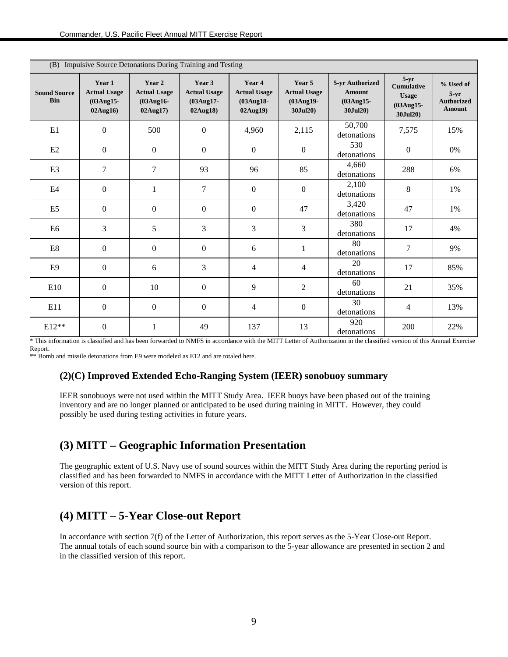| (B) Impulsive Source Detonations During Training and Testing |                                                        |                                                           |                                                           |                                                               |                                                        |                                                              |                                                                      |                                                           |  |  |  |  |
|--------------------------------------------------------------|--------------------------------------------------------|-----------------------------------------------------------|-----------------------------------------------------------|---------------------------------------------------------------|--------------------------------------------------------|--------------------------------------------------------------|----------------------------------------------------------------------|-----------------------------------------------------------|--|--|--|--|
| <b>Sound Source</b><br><b>Bin</b>                            | Year 1<br><b>Actual Usage</b><br>(03Aug15-<br>02Aug16) | Year 2<br><b>Actual Usage</b><br>$(03Aug16 -$<br>02Aug17) | Year 3<br><b>Actual Usage</b><br>$(03Aug17 -$<br>02Aug18) | Year 4<br><b>Actual Usage</b><br>$(03$ Aug $18$ -<br>02Aug19) | Year 5<br><b>Actual Usage</b><br>(03Aug19-<br>30Jul20) | 5-yr Authorized<br><b>Amount</b><br>$(03Aug15 -$<br>30Jul20) | $5-yr$<br><b>Cumulative</b><br><b>Usage</b><br>(03Aug15-<br>30Jul20) | % Used of<br>$5-yr$<br><b>Authorized</b><br><b>Amount</b> |  |  |  |  |
| E1                                                           | $\mathbf{0}$                                           | 500                                                       | $\overline{0}$                                            | 4,960                                                         | 2,115                                                  | 50,700<br>detonations                                        | 7,575                                                                | 15%                                                       |  |  |  |  |
| E2                                                           | $\boldsymbol{0}$                                       | $\mathbf{0}$                                              | $\boldsymbol{0}$                                          | $\boldsymbol{0}$                                              | $\mathbf{0}$                                           | 530<br>detonations                                           | $\boldsymbol{0}$                                                     | 0%                                                        |  |  |  |  |
| E <sub>3</sub>                                               | 7                                                      | $\tau$                                                    | 93                                                        | 96                                                            | 85                                                     | 4,660<br>detonations                                         | 288                                                                  | 6%                                                        |  |  |  |  |
| E4                                                           | $\mathbf{0}$                                           | 1                                                         | 7                                                         | $\mathbf{0}$                                                  | $\mathbf{0}$                                           | 2,100<br>detonations                                         | 8                                                                    | 1%                                                        |  |  |  |  |
| E <sub>5</sub>                                               | $\mathbf{0}$                                           | $\mathbf{0}$                                              | $\overline{0}$                                            | $\mathbf{0}$                                                  | 47                                                     | 3,420<br>detonations                                         | 47                                                                   | 1%                                                        |  |  |  |  |
| E <sub>6</sub>                                               | 3                                                      | 5                                                         | 3                                                         | 3                                                             | 3                                                      | 380<br>detonations                                           | 17                                                                   | 4%                                                        |  |  |  |  |
| E8                                                           | $\mathbf{0}$                                           | $\mathbf{0}$                                              | $\overline{0}$                                            | 6                                                             | 1                                                      | 80<br>detonations                                            | 7                                                                    | 9%                                                        |  |  |  |  |
| E9                                                           | $\Omega$                                               | 6                                                         | 3                                                         | 4                                                             | 4                                                      | 20<br>detonations                                            | 17                                                                   | 85%                                                       |  |  |  |  |
| E10                                                          | $\boldsymbol{0}$                                       | 10                                                        | $\overline{0}$                                            | 9                                                             | 2                                                      | 60<br>detonations                                            | 21                                                                   | 35%                                                       |  |  |  |  |
| E11                                                          | $\boldsymbol{0}$                                       | $\Omega$                                                  | $\boldsymbol{0}$                                          | 4                                                             | $\boldsymbol{0}$                                       | 30<br>detonations                                            | 4                                                                    | 13%                                                       |  |  |  |  |
| $E12**$                                                      | $\boldsymbol{0}$                                       | 1                                                         | 49                                                        | 137                                                           | 13                                                     | 920<br>detonations                                           | 200                                                                  | 22%                                                       |  |  |  |  |

\* This information is classified and has been forwarded to NMFS in accordance with the MITT Letter of Authorization in the classified version of this Annual Exercise Report.

\*\* Bomb and missile detonations from E9 were modeled as E12 and are totaled here.

#### **(2)(C) Improved Extended Echo-Ranging System (IEER) sonobuoy summary**

IEER sonobuoys were not used within the MITT Study Area. IEER buoys have been phased out of the training inventory and are no longer planned or anticipated to be used during training in MITT. However, they could possibly be used during testing activities in future years.

### **(3) MITT – Geographic Information Presentation**

The geographic extent of U.S. Navy use of sound sources within the MITT Study Area during the reporting period is classified and has been forwarded to NMFS in accordance with the MITT Letter of Authorization in the classified version of this report.

## **(4) MITT – 5-Year Close-out Report**

In accordance with section 7(f) of the Letter of Authorization, this report serves as the 5-Year Close-out Report. The annual totals of each sound source bin with a comparison to the 5-year allowance are presented in section 2 and in the classified version of this report.